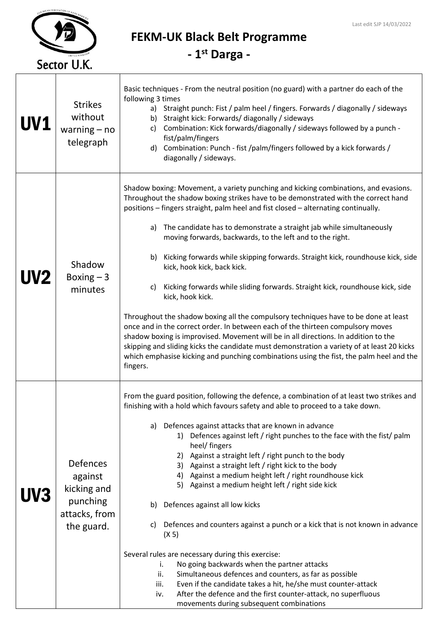

FEKM-UK Black Belt Programme

- 1st Darga -

| <b>UV1</b> | <b>Strikes</b><br>without<br>warning $-$ no<br>telegraph                      | Basic techniques - From the neutral position (no guard) with a partner do each of the<br>following 3 times<br>Straight punch: Fist / palm heel / fingers. Forwards / diagonally / sideways<br>a)<br>b) Straight kick: Forwards/diagonally / sideways<br>Combination: Kick forwards/diagonally / sideways followed by a punch -<br>c)<br>fist/palm/fingers<br>d) Combination: Punch - fist /palm/fingers followed by a kick forwards /<br>diagonally / sideways.                                                                                                                                                                                                                                                                                                                                                                                                                                                                                                                                                                                                                                                 |
|------------|-------------------------------------------------------------------------------|-----------------------------------------------------------------------------------------------------------------------------------------------------------------------------------------------------------------------------------------------------------------------------------------------------------------------------------------------------------------------------------------------------------------------------------------------------------------------------------------------------------------------------------------------------------------------------------------------------------------------------------------------------------------------------------------------------------------------------------------------------------------------------------------------------------------------------------------------------------------------------------------------------------------------------------------------------------------------------------------------------------------------------------------------------------------------------------------------------------------|
| <b>UV2</b> | Shadow<br>Boxing $-3$<br>minutes                                              | Shadow boxing: Movement, a variety punching and kicking combinations, and evasions.<br>Throughout the shadow boxing strikes have to be demonstrated with the correct hand<br>positions - fingers straight, palm heel and fist closed - alternating continually.<br>The candidate has to demonstrate a straight jab while simultaneously<br>a)<br>moving forwards, backwards, to the left and to the right.<br>b) Kicking forwards while skipping forwards. Straight kick, roundhouse kick, side<br>kick, hook kick, back kick.<br>Kicking forwards while sliding forwards. Straight kick, roundhouse kick, side<br>C)<br>kick, hook kick.<br>Throughout the shadow boxing all the compulsory techniques have to be done at least<br>once and in the correct order. In between each of the thirteen compulsory moves<br>shadow boxing is improvised. Movement will be in all directions. In addition to the<br>skipping and sliding kicks the candidate must demonstration a variety of at least 20 kicks<br>which emphasise kicking and punching combinations using the fist, the palm heel and the<br>fingers. |
| UV3        | Defences<br>against<br>kicking and<br>punching<br>attacks, from<br>the guard. | From the guard position, following the defence, a combination of at least two strikes and<br>finishing with a hold which favours safety and able to proceed to a take down.<br>Defences against attacks that are known in advance<br>a)<br>1) Defences against left / right punches to the face with the fist/ palm<br>heel/ fingers<br>Against a straight left / right punch to the body<br>2)<br>Against a straight left / right kick to the body<br>3)<br>Against a medium height left / right roundhouse kick<br>4)<br>5) Against a medium height left / right side kick<br>Defences against all low kicks<br>b)<br>Defences and counters against a punch or a kick that is not known in advance<br>C)<br>(X 5)<br>Several rules are necessary during this exercise:<br>No going backwards when the partner attacks<br>i.<br>Simultaneous defences and counters, as far as possible<br>ii.<br>Even if the candidate takes a hit, he/she must counter-attack<br>iii.<br>After the defence and the first counter-attack, no superfluous<br>iv.<br>movements during subsequent combinations                    |